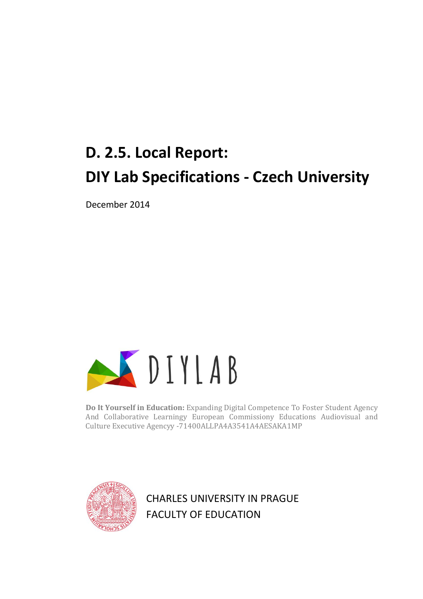# **D. 2.5. Local Report: DIY Lab Specifications - Czech University**

December 2014



**Do It Yourself in Education:** Expanding Digital Competence To Foster Student Agency And Collaborative Learningy European Commissiony Educations Audiovisual and Culture Executive Agencyy -71400ALLPA4A3541A4AESAKA1MP



CHARLES UNIVERSITY IN PRAGUE FACULTY OF EDUCATION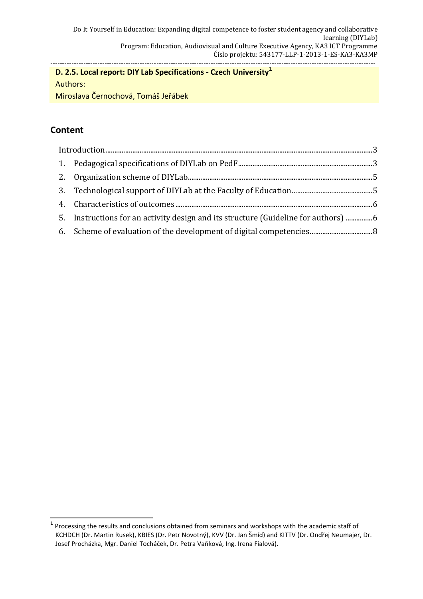# **D. 2.5. Local report: DIY Lab Specifications - Czech University**<sup>1</sup>

Authors:

Miroslava Černochová, Tomáš Jeřábek

# **Content**

| 5. Instructions for an activity design and its structure (Guideline for authors) |  |
|----------------------------------------------------------------------------------|--|
|                                                                                  |  |

 $\overline{\phantom{a}}$ 1 Processing the results and conclusions obtained from seminars and workshops with the academic staff of KCHDCH (Dr. Martin Rusek), KBIES (Dr. Petr Novotný), KVV (Dr. Jan Šmíd) and KITTV (Dr. Ondřej Neumajer, Dr. Josef Procházka, Mgr. Daniel Tocháček, Dr. Petra Vaňková, Ing. Irena Fialová).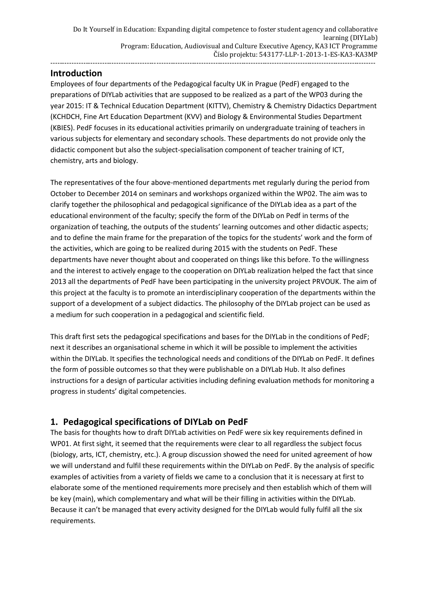## <span id="page-2-0"></span>**Introduction**

Employees of four departments of the Pedagogical faculty UK in Prague (PedF) engaged to the preparations of DIYLab activities that are supposed to be realized as a part of the WP03 during the year 2015: IT & Technical Education Department (KITTV), Chemistry & Chemistry Didactics Department (KCHDCH, Fine Art Education Department (KVV) and Biology & Environmental Studies Department (KBIES). PedF focuses in its educational activities primarily on undergraduate training of teachers in various subjects for elementary and secondary schools. These departments do not provide only the didactic component but also the subject-specialisation component of teacher training of ICT, chemistry, arts and biology.

The representatives of the four above-mentioned departments met regularly during the period from October to December 2014 on seminars and workshops organized within the WP02. The aim was to clarify together the philosophical and pedagogical significance of the DIYLab idea as a part of the educational environment of the faculty; specify the form of the DIYLab on Pedf in terms of the organization of teaching, the outputs of the students' learning outcomes and other didactic aspects; and to define the main frame for the preparation of the topics for the students' work and the form of the activities, which are going to be realized during 2015 with the students on PedF. These departments have never thought about and cooperated on things like this before. To the willingness and the interest to actively engage to the cooperation on DIYLab realization helped the fact that since 2013 all the departments of PedF have been participating in the university project PRVOUK. The aim of this project at the faculty is to promote an interdisciplinary cooperation of the departments within the support of a development of a subject didactics. The philosophy of the DIYLab project can be used as a medium for such cooperation in a pedagogical and scientific field.

This draft first sets the pedagogical specifications and bases for the DIYLab in the conditions of PedF; next it describes an organisational scheme in which it will be possible to implement the activities within the DIYLab. It specifies the technological needs and conditions of the DIYLab on PedF. It defines the form of possible outcomes so that they were publishable on a DIYLab Hub. It also defines instructions for a design of particular activities including defining evaluation methods for monitoring a progress in students' digital competencies.

## <span id="page-2-1"></span>**1. Pedagogical specifications of DIYLab on PedF**

The basis for thoughts how to draft DIYLab activities on PedF were six key requirements defined in WP01. At first sight, it seemed that the requirements were clear to all regardless the subject focus (biology, arts, ICT, chemistry, etc.). A group discussion showed the need for united agreement of how we will understand and fulfil these requirements within the DIYLab on PedF. By the analysis of specific examples of activities from a variety of fields we came to a conclusion that it is necessary at first to elaborate some of the mentioned requirements more precisely and then establish which of them will be key (main), which complementary and what will be their filling in activities within the DIYLab. Because it can't be managed that every activity designed for the DIYLab would fully fulfil all the six requirements.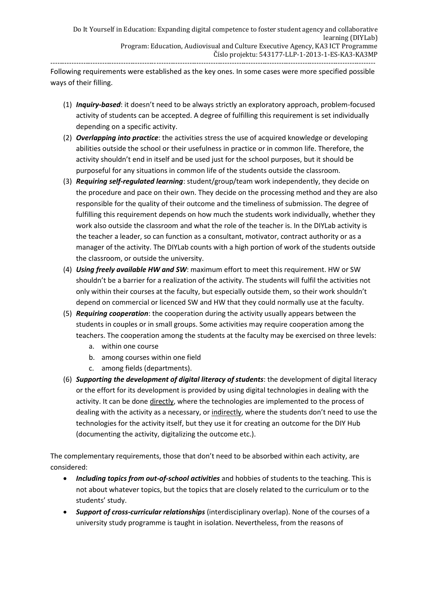Following requirements were established as the key ones. In some cases were more specified possible ways of their filling.

- (1) *Inquiry-based*: it doesn't need to be always strictly an exploratory approach, problem-focused activity of students can be accepted. A degree of fulfilling this requirement is set individually depending on a specific activity.
- (2) *Overlapping into practice*: the activities stress the use of acquired knowledge or developing abilities outside the school or their usefulness in practice or in common life. Therefore, the activity shouldn't end in itself and be used just for the school purposes, but it should be purposeful for any situations in common life of the students outside the classroom*.*
- (3) *Requiring self-regulated learning*: student/group/team work independently, they decide on the procedure and pace on their own. They decide on the processing method and they are also responsible for the quality of their outcome and the timeliness of submission. The degree of fulfilling this requirement depends on how much the students work individually, whether they work also outside the classroom and what the role of the teacher is. In the DIYLab activity is the teacher a leader, so can function as a consultant, motivator, contract authority or as a manager of the activity. The DIYLab counts with a high portion of work of the students outside the classroom, or outside the university.
- (4) *Using freely available HW and SW*: maximum effort to meet this requirement. HW or SW shouldn't be a barrier for a realization of the activity. The students will fulfil the activities not only within their courses at the faculty, but especially outside them, so their work shouldn't depend on commercial or licenced SW and HW that they could normally use at the faculty.
- (5) *Requiring cooperation*: the cooperation during the activity usually appears between the students in couples or in small groups. Some activities may require cooperation among the teachers. The cooperation among the students at the faculty may be exercised on three levels:
	- a. within one course
	- b. among courses within one field
	- c. among fields (departments).
- (6) *Supporting the development of digital literacy of students*: the development of digital literacy or the effort for its development is provided by using digital technologies in dealing with the activity. It can be done directly, where the technologies are implemented to the process of dealing with the activity as a necessary, or indirectly, where the students don't need to use the technologies for the activity itself, but they use it for creating an outcome for the DIY Hub (documenting the activity, digitalizing the outcome etc.).

The complementary requirements, those that don't need to be absorbed within each activity, are considered:

- *Including topics from out-of-school activities* and hobbies of students to the teaching. This is not about whatever topics, but the topics that are closely related to the curriculum or to the students' study.
- *Support of cross-curricular relationships* (interdisciplinary overlap). None of the courses of a university study programme is taught in isolation. Nevertheless, from the reasons of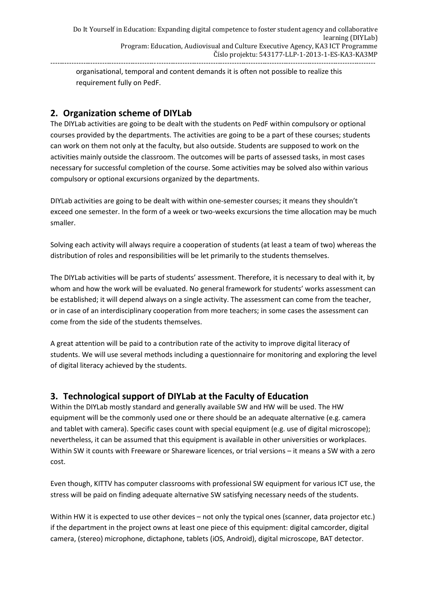organisational, temporal and content demands it is often not possible to realize this requirement fully on PedF.

## <span id="page-4-0"></span>**2. Organization scheme of DIYLab**

The DIYLab activities are going to be dealt with the students on PedF within compulsory or optional courses provided by the departments. The activities are going to be a part of these courses; students can work on them not only at the faculty, but also outside. Students are supposed to work on the activities mainly outside the classroom. The outcomes will be parts of assessed tasks, in most cases necessary for successful completion of the course. Some activities may be solved also within various compulsory or optional excursions organized by the departments.

DIYLab activities are going to be dealt with within one-semester courses; it means they shouldn't exceed one semester. In the form of a week or two-weeks excursions the time allocation may be much smaller.

Solving each activity will always require a cooperation of students (at least a team of two) whereas the distribution of roles and responsibilities will be let primarily to the students themselves.

The DIYLab activities will be parts of students' assessment. Therefore, it is necessary to deal with it, by whom and how the work will be evaluated. No general framework for students' works assessment can be established; it will depend always on a single activity. The assessment can come from the teacher, or in case of an interdisciplinary cooperation from more teachers; in some cases the assessment can come from the side of the students themselves.

A great attention will be paid to a contribution rate of the activity to improve digital literacy of students. We will use several methods including a questionnaire for monitoring and exploring the level of digital literacy achieved by the students.

# <span id="page-4-1"></span>**3. Technological support of DIYLab at the Faculty of Education**

Within the DIYLab mostly standard and generally available SW and HW will be used. The HW equipment will be the commonly used one or there should be an adequate alternative (e.g. camera and tablet with camera). Specific cases count with special equipment (e.g. use of digital microscope); nevertheless, it can be assumed that this equipment is available in other universities or workplaces. Within SW it counts with Freeware or Shareware licences, or trial versions – it means a SW with a zero cost.

Even though, KITTV has computer classrooms with professional SW equipment for various ICT use, the stress will be paid on finding adequate alternative SW satisfying necessary needs of the students.

Within HW it is expected to use other devices – not only the typical ones (scanner, data projector etc.) if the department in the project owns at least one piece of this equipment: digital camcorder, digital camera, (stereo) microphone, dictaphone, tablets (iOS, Android), digital microscope, BAT detector.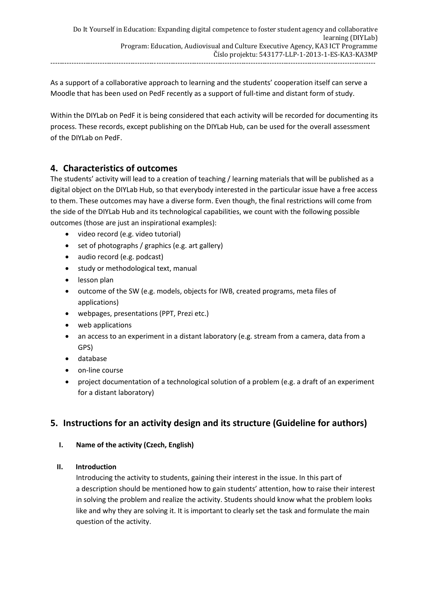As a support of a collaborative approach to learning and the students' cooperation itself can serve a Moodle that has been used on PedF recently as a support of full-time and distant form of study.

Within the DIYLab on PedF it is being considered that each activity will be recorded for documenting its process. These records, except publishing on the DIYLab Hub, can be used for the overall assessment of the DIYLab on PedF.

# <span id="page-5-0"></span>**4. Characteristics of outcomes**

The students' activity will lead to a creation of teaching / learning materials that will be published as a digital object on the DIYLab Hub, so that everybody interested in the particular issue have a free access to them. These outcomes may have a diverse form. Even though, the final restrictions will come from the side of the DIYLab Hub and its technological capabilities, we count with the following possible outcomes (those are just an inspirational examples):

- video record (e.g. video tutorial)
- set of photographs / graphics (e.g. art gallery)
- audio record (e.g. podcast)
- study or methodological text, manual
- lesson plan
- outcome of the SW (e.g. models, objects for IWB, created programs, meta files of applications)
- webpages, presentations (PPT, Prezi etc.)
- web applications
- an access to an experiment in a distant laboratory (e.g. stream from a camera, data from a GPS)
- database
- on-line course
- project documentation of a technological solution of a problem (e.g. a draft of an experiment for a distant laboratory)

# <span id="page-5-1"></span>**5. Instructions for an activity design and its structure (Guideline for authors)**

**I. Name of the activity (Czech, English)**

## **II. Introduction**

Introducing the activity to students, gaining their interest in the issue. In this part of a description should be mentioned how to gain students' attention, how to raise their interest in solving the problem and realize the activity. Students should know what the problem looks like and why they are solving it. It is important to clearly set the task and formulate the main question of the activity.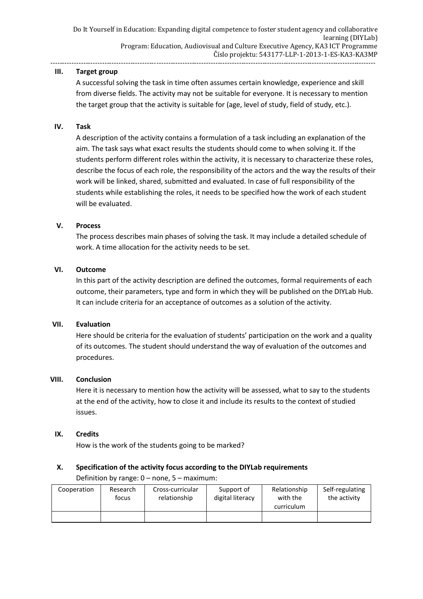#### **III. Target group**

A successful solving the task in time often assumes certain knowledge, experience and skill from diverse fields. The activity may not be suitable for everyone. It is necessary to mention the target group that the activity is suitable for (age, level of study, field of study, etc.).

#### **IV. Task**

A description of the activity contains a formulation of a task including an explanation of the aim. The task says what exact results the students should come to when solving it. If the students perform different roles within the activity, it is necessary to characterize these roles, describe the focus of each role, the responsibility of the actors and the way the results of their work will be linked, shared, submitted and evaluated. In case of full responsibility of the students while establishing the roles, it needs to be specified how the work of each student will be evaluated.

#### **V. Process**

The process describes main phases of solving the task. It may include a detailed schedule of work. A time allocation for the activity needs to be set.

#### **VI. Outcome**

In this part of the activity description are defined the outcomes, formal requirements of each outcome, their parameters, type and form in which they will be published on the DIYLab Hub. It can include criteria for an acceptance of outcomes as a solution of the activity.

#### **VII. Evaluation**

Here should be criteria for the evaluation of students' participation on the work and a quality of its outcomes. The student should understand the way of evaluation of the outcomes and procedures.

#### **VIII. Conclusion**

Here it is necessary to mention how the activity will be assessed, what to say to the students at the end of the activity, how to close it and include its results to the context of studied issues.

#### **IX. Credits**

How is the work of the students going to be marked?

### **X. Specification of the activity focus according to the DIYLab requirements** Definition by range: 0 – none, 5 – maximum:

| Cooperation | Research<br>tocus | Cross-curricular<br>relationship | Support of<br>digital literacy | Relationship<br>with the<br>curriculum | Self-regulating<br>the activity |
|-------------|-------------------|----------------------------------|--------------------------------|----------------------------------------|---------------------------------|
|             |                   |                                  |                                |                                        |                                 |